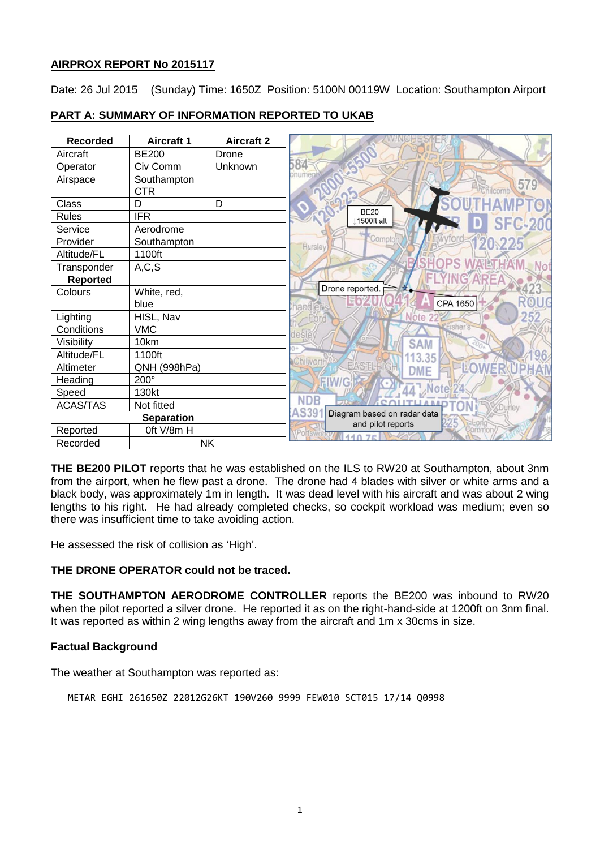# **AIRPROX REPORT No 2015117**

Date: 26 Jul 2015 (Sunday) Time: 1650Z Position: 5100N 00119W Location: Southampton Airport

| <b>Recorded</b> | <b>Aircraft 1</b> | <b>Aircraft 2</b> |
|-----------------|-------------------|-------------------|
| Aircraft        | <b>BE200</b>      | Drone             |
| Operator        | Civ Comm          | Unknown           |
| Airspace        | Southampton       |                   |
|                 | <b>CTR</b>        |                   |
| Class           | D                 | D                 |
| <b>Rules</b>    | <b>IFR</b>        |                   |
| Service         | Aerodrome         |                   |
| Provider        | Southampton       |                   |
| Altitude/FL     | 1100ft            |                   |
| Transponder     | A, C, S           |                   |
| <b>Reported</b> |                   |                   |
| Colours         | White, red,       |                   |
|                 | blue              |                   |
| Lighting        | HISL, Nav         |                   |
| Conditions      | <b>VMC</b>        |                   |
| Visibility      | 10km              |                   |
| Altitude/FL     | 1100ft            |                   |
| Altimeter       | QNH (998hPa)      |                   |
| Heading         | 200°              |                   |
| Speed           | 130kt             |                   |
| <b>ACAS/TAS</b> | Not fitted        |                   |
|                 | <b>Separation</b> |                   |
| Reported        | Oft V/8m H        |                   |
| Recorded        | <b>NK</b>         |                   |

# **PART A: SUMMARY OF INFORMATION REPORTED TO UKAB**

**THE BE200 PILOT** reports that he was established on the ILS to RW20 at Southampton, about 3nm from the airport, when he flew past a drone. The drone had 4 blades with silver or white arms and a black body, was approximately 1m in length. It was dead level with his aircraft and was about 2 wing lengths to his right. He had already completed checks, so cockpit workload was medium; even so there was insufficient time to take avoiding action.

He assessed the risk of collision as 'High'.

#### **THE DRONE OPERATOR could not be traced.**

**THE SOUTHAMPTON AERODROME CONTROLLER** reports the BE200 was inbound to RW20 when the pilot reported a silver drone. He reported it as on the right-hand-side at 1200ft on 3nm final. It was reported as within 2 wing lengths away from the aircraft and 1m x 30cms in size.

#### **Factual Background**

The weather at Southampton was reported as:

METAR EGHI 261650Z 22012G26KT 190V260 9999 FEW010 SCT015 17/14 Q0998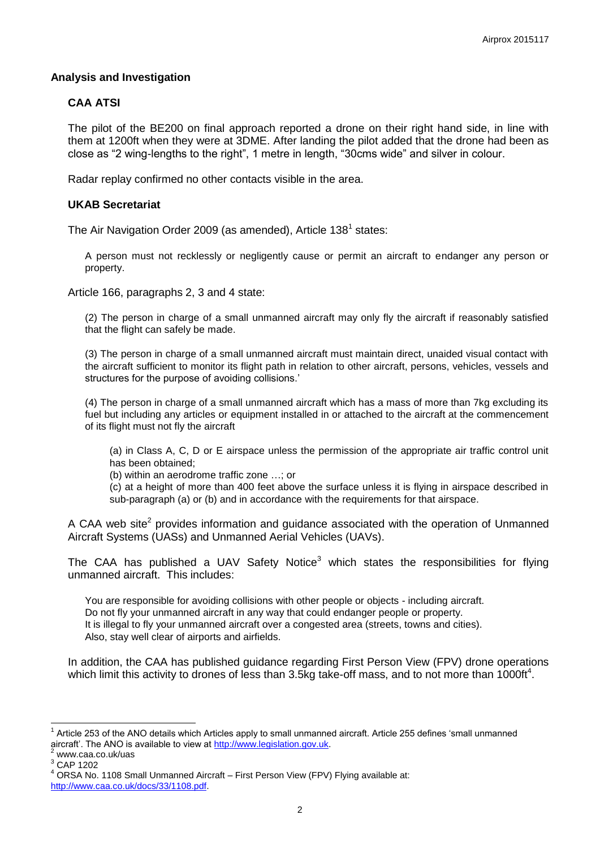## **Analysis and Investigation**

# **CAA ATSI**

The pilot of the BE200 on final approach reported a drone on their right hand side, in line with them at 1200ft when they were at 3DME. After landing the pilot added that the drone had been as close as "2 wing-lengths to the right", 1 metre in length, "30cms wide" and silver in colour.

Radar replay confirmed no other contacts visible in the area.

#### **UKAB Secretariat**

The Air Navigation Order 2009 (as amended), Article 138<sup>1</sup> states:

A person must not recklessly or negligently cause or permit an aircraft to endanger any person or property.

Article 166, paragraphs 2, 3 and 4 state:

(2) The person in charge of a small unmanned aircraft may only fly the aircraft if reasonably satisfied that the flight can safely be made.

(3) The person in charge of a small unmanned aircraft must maintain direct, unaided visual contact with the aircraft sufficient to monitor its flight path in relation to other aircraft, persons, vehicles, vessels and structures for the purpose of avoiding collisions.'

(4) The person in charge of a small unmanned aircraft which has a mass of more than 7kg excluding its fuel but including any articles or equipment installed in or attached to the aircraft at the commencement of its flight must not fly the aircraft

(a) in Class A, C, D or E airspace unless the permission of the appropriate air traffic control unit has been obtained;

(b) within an aerodrome traffic zone …; or

(c) at a height of more than 400 feet above the surface unless it is flying in airspace described in sub-paragraph (a) or (b) and in accordance with the requirements for that airspace.

A CAA web site<sup>2</sup> provides information and guidance associated with the operation of Unmanned Aircraft Systems (UASs) and Unmanned Aerial Vehicles (UAVs).

The CAA has published a UAV Safety Notice<sup>3</sup> which states the responsibilities for flying unmanned aircraft. This includes:

You are responsible for avoiding collisions with other people or objects - including aircraft. Do not fly your unmanned aircraft in any way that could endanger people or property. It is illegal to fly your unmanned aircraft over a congested area (streets, towns and cities). Also, stay well clear of airports and airfields.

In addition, the CAA has published guidance regarding First Person View (FPV) drone operations which limit this activity to drones of less than 3.5kg take-off mass, and to not more than 1000ft<sup>4</sup>.

 $\overline{a}$ 1 Article 253 of the ANO details which Articles apply to small unmanned aircraft. Article 255 defines 'small unmanned aircraft'. The ANO is available to view at [http://www.legislation.gov.uk.](http://www.legislation.gov.uk/)

www.caa.co.uk/uas

<sup>3</sup> CAP 1202

ORSA No. 1108 Small Unmanned Aircraft – First Person View (FPV) Flying available at:

[http://www.caa.co.uk/docs/33/1108.pdf.](http://www.caa.co.uk/docs/33/1108.pdf)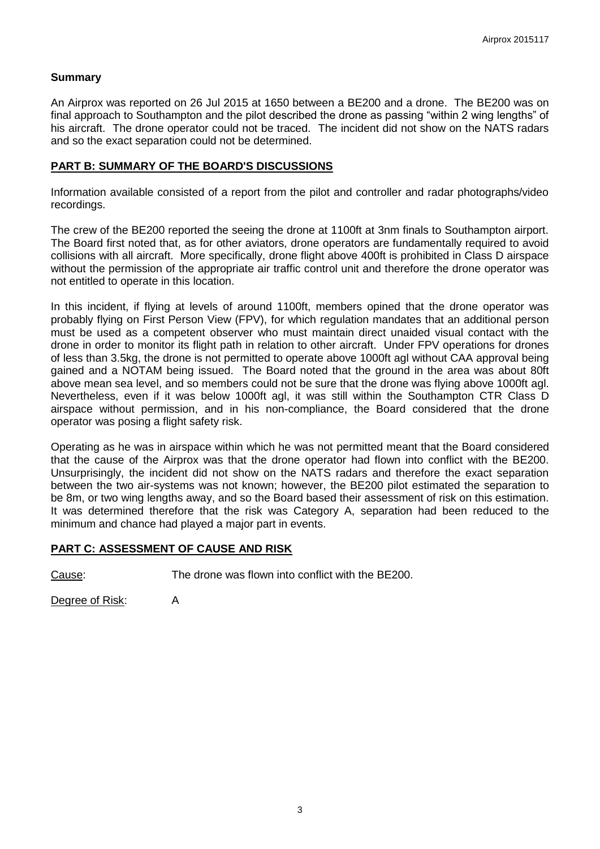## **Summary**

An Airprox was reported on 26 Jul 2015 at 1650 between a BE200 and a drone. The BE200 was on final approach to Southampton and the pilot described the drone as passing "within 2 wing lengths" of his aircraft. The drone operator could not be traced. The incident did not show on the NATS radars and so the exact separation could not be determined.

#### **PART B: SUMMARY OF THE BOARD'S DISCUSSIONS**

Information available consisted of a report from the pilot and controller and radar photographs/video recordings.

The crew of the BE200 reported the seeing the drone at 1100ft at 3nm finals to Southampton airport. The Board first noted that, as for other aviators, drone operators are fundamentally required to avoid collisions with all aircraft. More specifically, drone flight above 400ft is prohibited in Class D airspace without the permission of the appropriate air traffic control unit and therefore the drone operator was not entitled to operate in this location.

In this incident, if flying at levels of around 1100ft, members opined that the drone operator was probably flying on First Person View (FPV), for which regulation mandates that an additional person must be used as a competent observer who must maintain direct unaided visual contact with the drone in order to monitor its flight path in relation to other aircraft. Under FPV operations for drones of less than 3.5kg, the drone is not permitted to operate above 1000ft agl without CAA approval being gained and a NOTAM being issued. The Board noted that the ground in the area was about 80ft above mean sea level, and so members could not be sure that the drone was flying above 1000ft agl. Nevertheless, even if it was below 1000ft agl, it was still within the Southampton CTR Class D airspace without permission, and in his non-compliance, the Board considered that the drone operator was posing a flight safety risk.

Operating as he was in airspace within which he was not permitted meant that the Board considered that the cause of the Airprox was that the drone operator had flown into conflict with the BE200. Unsurprisingly, the incident did not show on the NATS radars and therefore the exact separation between the two air-systems was not known; however, the BE200 pilot estimated the separation to be 8m, or two wing lengths away, and so the Board based their assessment of risk on this estimation. It was determined therefore that the risk was Category A, separation had been reduced to the minimum and chance had played a major part in events.

#### **PART C: ASSESSMENT OF CAUSE AND RISK**

Cause: The drone was flown into conflict with the BE200.

Degree of Risk: A